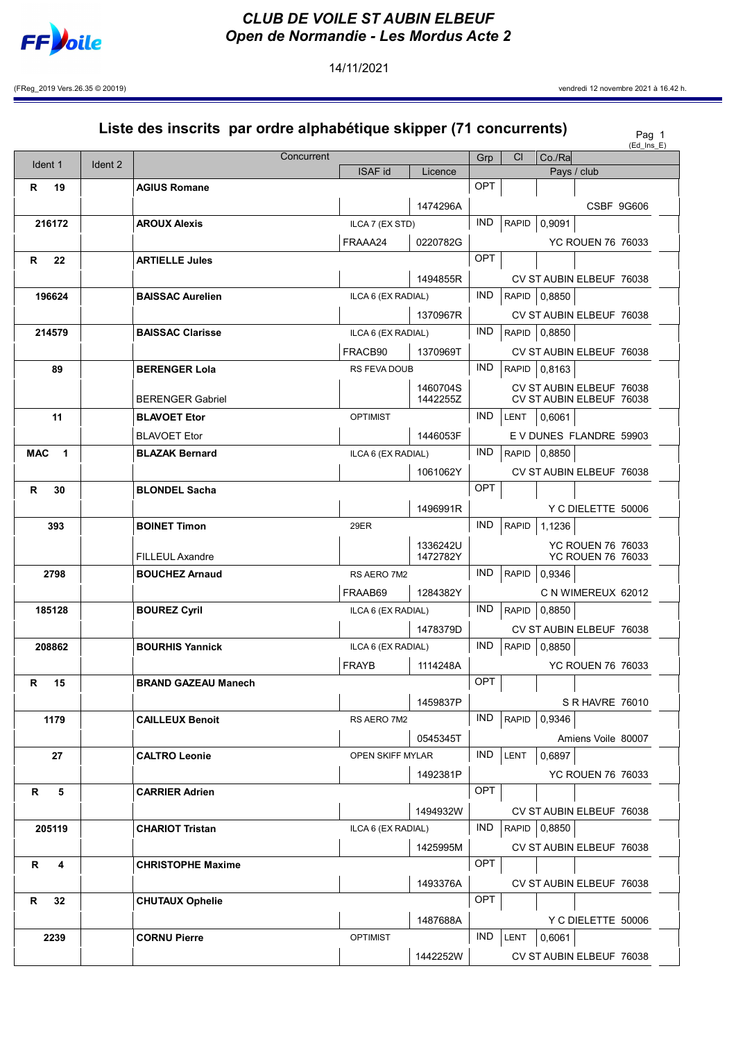

14/11/2021

(FReg\_2019 Vers.26.35 © 20019) vendredi 12 novembre 2021 à 16.42 h.

## Liste des inscrits par ordre alphabétique skipper (71 concurrents)  $P_{\text{eq 1}}$  $(Ed$  Ins  $E)$ Ident 1 | Ident 2 Concurrent Grp Cl Co./Ra ISAF id | Licence | Pays / club R 19 AGIUS Romane OPT 1474296A CSBF 9G606 216172 **AROUX Alexis AROUX Alexis** ILCA 7 (EX STD) **IND** RAPID 0,9091 FRAAA24 0220782G YC ROUEN 76 76033 R 22 ARTIELLE Jules **OPT** 1494855R CV ST AUBIN ELBEUF 76038 196624 BAISSAC Aurelien ILCA 6 (EX RADIAL) | IND RAPID 0,8850 1370967R | CV ST AUBIN ELBEUF 76038 214579 BAISSAC Clarisse ILCA 6 (EX RADIAL) IND RAPID 0,8850 FRACB90 1370969T CV ST AUBIN ELBEUF 76038 89 BERENGER Lola RS FEVA DOUB IND RAPID 0,8163 BERENGER Gabriel 1460704S 1442255Z CV ST AUBIN ELBEUF 76038 CV ST AUBIN ELBEUF 76038 11 BLAVOET Etor OPTIMIST IND LENT 0,6061 BLAVOET Etor 1446053F EV DUNES FLANDRE 59903 MAC 1 | BLAZAK Bernard ILCA 6 (EX RADIAL) | IND RAPID 0,8850 1061062Y CV ST AUBIN ELBEUF 76038 R 30 BLONDEL Sacha OPT 1496991R | Y C DIELETTE 50006 **393** BOINET Timon 29ER IND RAPID 1,1236 FILLEUL Axandre 1336242U 1472782Y YC ROUEN 76 76033 YC ROUEN 76 76033 2798 BOUCHEZ Arnaud RS AERO 7M2 IND RAPID 0,9346 FRAAB69 | 1284382Y | C N WIMEREUX 62012 185128 **BOUREZ Cyril CONGERECT CONGERENT CONGERENT BOURG IND** RAPID 0,8850 1478379D CV ST AUBIN ELBEUF 76038 208862 BOURHIS Yannick ILCA 6 (EX RADIAL)  $\vert$  IND  $\vert$  RAPID  $\vert$  0,8850 FRAYB 1114248A YC ROUEN 76 76033 R 15 BRAND GAZEAU Manech COPT 1459837P S R HAVRE 76010 1179 CAILLEUX Benoit RS AERO 7M2 IND RAPID 0,9346 0545345T | Amiens Voile 80007 27 CALTRO Leonie OPEN SKIFF MYLAR IND LENT 0,6897 1492381P YC ROUEN 76 76033 R 5 CARRIER Adrien CARRIER Adrien COPT 1494932W CV ST AUBIN ELBEUF 76038 205119 CHARIOT Tristan ILCA 6 (EX RADIAL) IND RAPID 0,8850 1425995M CV ST AUBIN ELBEUF 76038 R 4 CHRISTOPHE Maxime CHRISTOPHE MAXIME 1493376A CV ST AUBIN ELBEUF 76038 R 32 CHUTAUX Ophelie **Ophelie** OPT 1487688A | Y C DIELETTE 50006 **2239 CORNU Pierre** CORNU Pierre OPTIMIST NORTH OF SALES AND LENT 0,6061 1442252W CV ST AUBIN ELBEUF 76038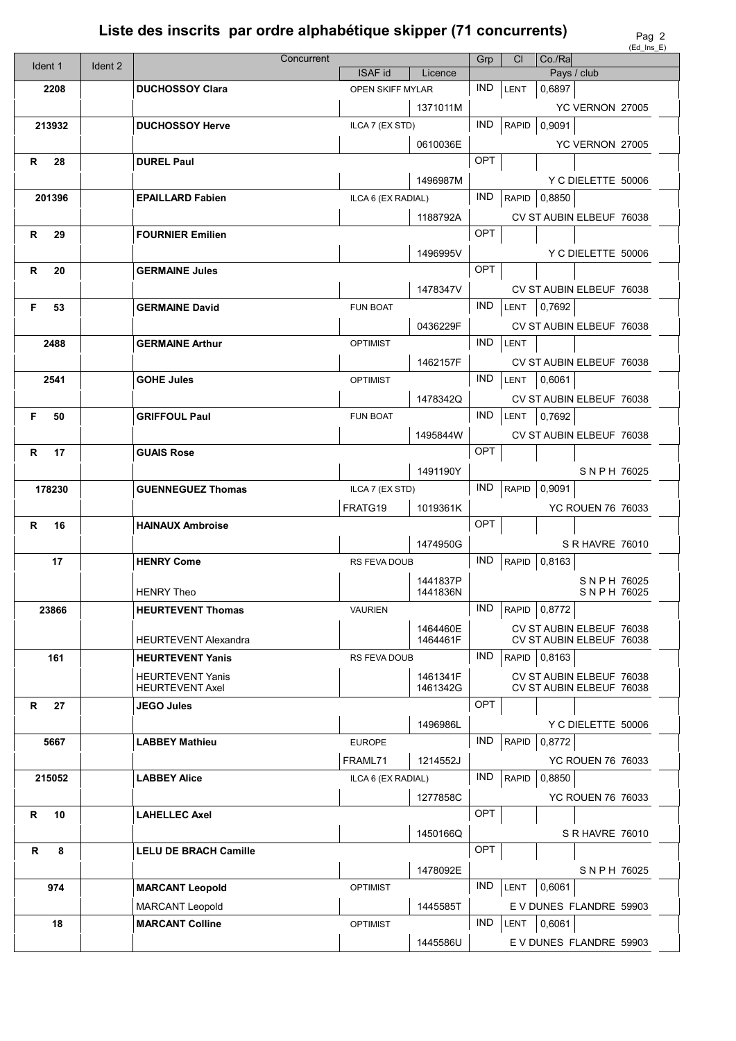## Liste des inscrits par ordre alphabétique skipper (71 concurrents)

|          |         | Concurrent                   |                         |                 | Grp        | CI           | Co/Ra        |                          | $($ $E$ u $\parallel$ $E$ $E$ $I$ |
|----------|---------|------------------------------|-------------------------|-----------------|------------|--------------|--------------|--------------------------|-----------------------------------|
| Ident 1  | Ident 2 |                              | <b>ISAF id</b>          | Licence         |            |              |              | Pays / club              |                                   |
| 2208     |         | <b>DUCHOSSOY Clara</b>       | <b>OPEN SKIFF MYLAR</b> |                 | IND.       | LENT         | 0,6897       |                          |                                   |
|          |         |                              |                         | 1371011M        |            |              |              | YC VERNON 27005          |                                   |
| 213932   |         | <b>DUCHOSSOY Herve</b>       | ILCA 7 (EX STD)         |                 | IND.       | <b>RAPID</b> | 0,9091       |                          |                                   |
|          |         |                              |                         | 0610036E        |            |              |              | YC VERNON 27005          |                                   |
| R<br>28  |         | <b>DUREL Paul</b>            |                         |                 | OPT        |              |              |                          |                                   |
|          |         |                              |                         |                 |            |              |              |                          |                                   |
|          |         |                              |                         | 1496987M        |            |              |              | Y C DIELETTE 50006       |                                   |
| 201396   |         | <b>EPAILLARD Fabien</b>      | ILCA 6 (EX RADIAL)      |                 | IND.       | <b>RAPID</b> | 0,8850       |                          |                                   |
|          |         |                              |                         | 1188792A        |            |              |              | CV ST AUBIN ELBEUF 76038 |                                   |
| R<br>29  |         | <b>FOURNIER Emilien</b>      |                         |                 | OPT        |              |              |                          |                                   |
|          |         |                              |                         | 1496995V        |            |              |              | Y C DIELETTE 50006       |                                   |
| 20<br>R  |         | <b>GERMAINE Jules</b>        |                         |                 | OPT        |              |              |                          |                                   |
|          |         |                              |                         | 1478347V        |            |              |              | CV ST AUBIN ELBEUF 76038 |                                   |
| F<br>53  |         | <b>GERMAINE David</b>        | <b>FUN BOAT</b>         |                 | IND.       | LENT         | 0,7692       |                          |                                   |
|          |         |                              |                         |                 |            |              |              |                          |                                   |
|          |         |                              |                         | 0436229F        |            |              |              | CV ST AUBIN ELBEUF 76038 |                                   |
| 2488     |         | <b>GERMAINE Arthur</b>       | <b>OPTIMIST</b>         |                 | <b>IND</b> | LENT         |              |                          |                                   |
|          |         |                              |                         | 1462157F        |            |              |              | CV ST AUBIN ELBEUF 76038 |                                   |
| 2541     |         | <b>GOHE Jules</b>            | <b>OPTIMIST</b>         |                 | IND.       | <b>LENT</b>  | 0,6061       |                          |                                   |
|          |         |                              |                         | 1478342Q        |            |              |              | CV ST AUBIN ELBEUF 76038 |                                   |
| F.<br>50 |         | <b>GRIFFOUL Paul</b>         | <b>FUN BOAT</b>         |                 | IND.       | LENT         | 0,7692       |                          |                                   |
|          |         |                              |                         | 1495844W        |            |              |              | CV ST AUBIN ELBEUF 76038 |                                   |
| R<br>17  |         | <b>GUAIS Rose</b>            |                         |                 | OPT        |              |              |                          |                                   |
|          |         |                              |                         |                 |            |              |              |                          |                                   |
|          |         |                              |                         | 1491190Y        | IND.       |              |              | SNPH 76025               |                                   |
| 178230   |         | <b>GUENNEGUEZ Thomas</b>     |                         | ILCA 7 (EX STD) |            | <b>RAPID</b> | 0,9091       |                          |                                   |
|          |         |                              | FRATG19                 | 1019361K        |            |              |              | <b>YC ROUEN 76 76033</b> |                                   |
| R<br>16  |         | <b>HAINAUX Ambroise</b>      |                         |                 | OPT        |              |              |                          |                                   |
|          |         |                              |                         | 1474950G        |            |              |              | S R HAVRE 76010          |                                   |
| 17       |         | <b>HENRY Come</b>            | RS FEVA DOUB            |                 | <b>IND</b> | <b>RAPID</b> | 0,8163       |                          |                                   |
|          |         |                              |                         | 1441837P        |            |              |              | SNPH 76025               |                                   |
|          |         | <b>HENRY Theo</b>            |                         | 1441836N        |            |              |              | SNPH 76025               |                                   |
| 23866    |         | <b>HEURTEVENT Thomas</b>     | <b>VAURIEN</b>          |                 | IND        |              | RAPID 0,8772 |                          |                                   |
|          |         |                              |                         | 1464460E        |            |              |              | CV ST AUBIN ELBEUF 76038 |                                   |
|          |         | <b>HEURTEVENT Alexandra</b>  |                         | 1464461F        |            |              |              | CV ST AUBIN ELBEUF 76038 |                                   |
| 161      |         | <b>HEURTEVENT Yanis</b>      | RS FEVA DOUB            |                 | IND.       | RAPID        | 0,8163       |                          |                                   |
|          |         | <b>HEURTEVENT Yanis</b>      |                         | 1461341F        |            |              |              | CV ST AUBIN ELBEUF 76038 |                                   |
|          |         | <b>HEURTEVENT Axel</b>       |                         | 1461342G        |            |              |              | CV ST AUBIN ELBEUF 76038 |                                   |
| R<br>27  |         | <b>JEGO Jules</b>            |                         |                 | OPT        |              |              |                          |                                   |
|          |         |                              |                         | 1496986L        |            |              |              | Y C DIELETTE 50006       |                                   |
| 5667     |         | <b>LABBEY Mathieu</b>        | <b>EUROPE</b>           |                 | IND.       | <b>RAPID</b> | 0,8772       |                          |                                   |
|          |         |                              | FRAML71                 | 1214552J        |            |              |              | <b>YC ROUEN 76 76033</b> |                                   |
| 215052   |         | <b>LABBEY Alice</b>          | ILCA 6 (EX RADIAL)      |                 | <b>IND</b> | RAPID        | 0,8850       |                          |                                   |
|          |         |                              |                         | 1277858C        |            |              |              | <b>YC ROUEN 76 76033</b> |                                   |
| R<br>10  |         | <b>LAHELLEC Axel</b>         |                         |                 | OPT        |              |              |                          |                                   |
|          |         |                              |                         | 1450166Q        |            |              |              | S R HAVRE 76010          |                                   |
| R<br>8   |         |                              |                         |                 | OPT        |              |              |                          |                                   |
|          |         | <b>LELU DE BRACH Camille</b> |                         |                 |            |              |              |                          |                                   |
|          |         |                              |                         | 1478092E        |            |              |              | SNPH 76025               |                                   |
| 974      |         | <b>MARCANT Leopold</b>       | <b>OPTIMIST</b>         |                 | IND.       | <b>LENT</b>  | 0,6061       |                          |                                   |
|          |         | <b>MARCANT Leopold</b>       |                         | 1445585T        |            |              |              | E V DUNES FLANDRE 59903  |                                   |
| 18       |         | <b>MARCANT Colline</b>       | <b>OPTIMIST</b>         |                 | IND.       | <b>LENT</b>  | 0,6061       |                          |                                   |
|          |         |                              |                         | 1445586U        |            |              |              | E V DUNES FLANDRE 59903  |                                   |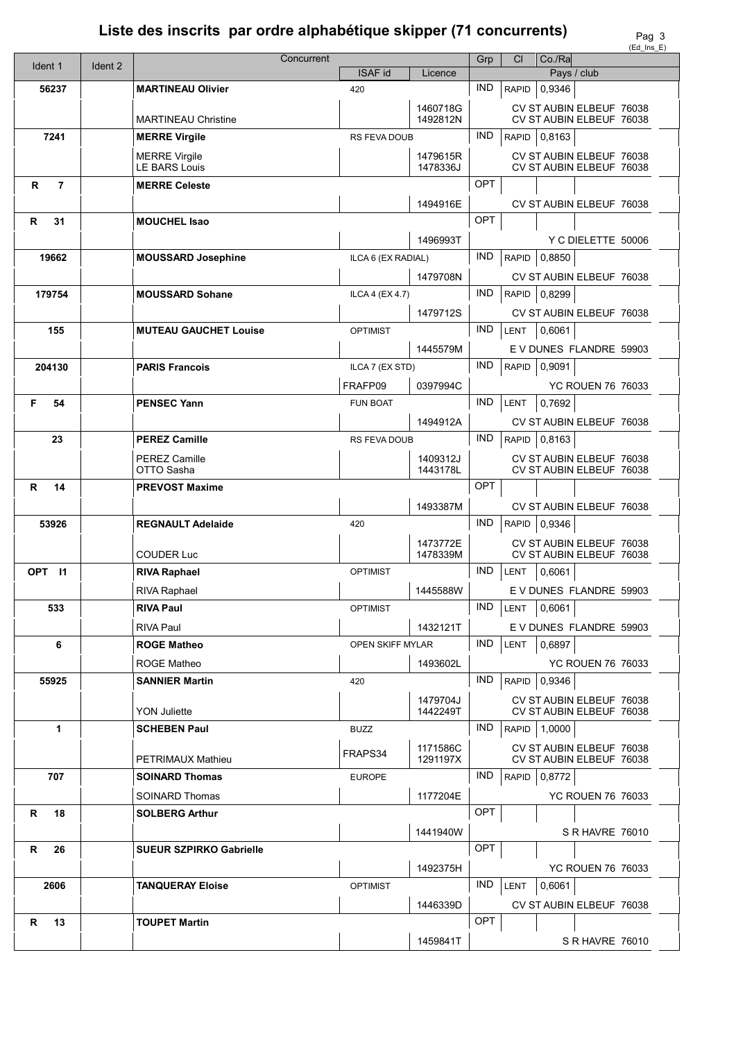## Liste des inscrits par ordre alphabétique skipper (71 concurrents)

Pag  $\frac{3}{5}$ 

|                     |         | Concurrent                     |                     | Grp                  | CI         | $Co.$ / $Ra$ |              | (EG INS E)                                           |  |
|---------------------|---------|--------------------------------|---------------------|----------------------|------------|--------------|--------------|------------------------------------------------------|--|
| Ident 1             | Ident 2 |                                | <b>ISAF id</b>      | Licence              |            |              | Pays / club  |                                                      |  |
| 56237               |         | <b>MARTINEAU Olivier</b>       | 420                 |                      | <b>IND</b> |              | RAPID 0,9346 |                                                      |  |
|                     |         |                                |                     | 1460718G             |            |              |              | CV ST AUBIN ELBEUF 76038                             |  |
|                     |         | <b>MARTINEAU Christine</b>     |                     | 1492812N             |            |              |              | CV ST AUBIN ELBEUF 76038                             |  |
| 7241                |         | <b>MERRE Virgile</b>           | <b>RS FEVA DOUB</b> |                      | IND.       |              | RAPID 0,8163 |                                                      |  |
|                     |         | <b>MERRE Virgile</b>           |                     | 1479615R             |            |              |              | CV ST AUBIN ELBEUF 76038                             |  |
|                     |         | <b>LE BARS Louis</b>           |                     | 1478336J             |            |              |              | CV ST AUBIN ELBEUF 76038                             |  |
| R<br>$\overline{7}$ |         | <b>MERRE Celeste</b>           |                     |                      | <b>OPT</b> |              |              |                                                      |  |
|                     |         |                                |                     | 1494916E             |            |              |              | CV ST AUBIN ELBEUF 76038                             |  |
| R<br>31             |         | <b>MOUCHEL Isao</b>            |                     |                      | OPT        |              |              |                                                      |  |
|                     |         |                                |                     | 1496993T             |            |              |              | Y C DIELETTE 50006                                   |  |
| 19662               |         | <b>MOUSSARD Josephine</b>      | ILCA 6 (EX RADIAL)  |                      | IND.       | <b>RAPID</b> | 0,8850       |                                                      |  |
|                     |         |                                |                     | 1479708N             |            |              |              | CV ST AUBIN ELBEUF 76038                             |  |
| 179754              |         | <b>MOUSSARD Sohane</b>         | ILCA 4 (EX 4.7)     |                      | <b>IND</b> |              | RAPID 0,8299 |                                                      |  |
|                     |         |                                |                     | 1479712S             |            |              |              | CV ST AUBIN ELBEUF 76038                             |  |
| 155                 |         | <b>MUTEAU GAUCHET Louise</b>   | <b>OPTIMIST</b>     |                      | <b>IND</b> | LENT         | 0,6061       |                                                      |  |
|                     |         |                                |                     | 1445579M             |            |              |              | E V DUNES FLANDRE 59903                              |  |
| 204130              |         | <b>PARIS Francois</b>          | ILCA 7 (EX STD)     |                      | <b>IND</b> |              | RAPID 0.9091 |                                                      |  |
|                     |         |                                | FRAFP09             | 0397994C             |            |              |              | YC ROUEN 76 76033                                    |  |
| F<br>54             |         | <b>PENSEC Yann</b>             | <b>FUN BOAT</b>     |                      | <b>IND</b> | LENT         | 0,7692       |                                                      |  |
|                     |         |                                |                     | 1494912A             |            |              |              | CV ST AUBIN ELBEUF 76038                             |  |
| 23                  |         | <b>PEREZ Camille</b>           | <b>RS FEVA DOUB</b> |                      | IND.       |              | RAPID 0,8163 |                                                      |  |
|                     |         | <b>PEREZ Camille</b>           |                     | 1409312J             |            |              |              | CV ST AUBIN ELBEUF 76038                             |  |
|                     |         | OTTO Sasha                     |                     | 1443178L             |            |              |              | CV ST AUBIN ELBEUF 76038                             |  |
| 14<br>R             |         | <b>PREVOST Maxime</b>          |                     |                      | OPT        |              |              |                                                      |  |
|                     |         |                                |                     | 1493387M             |            |              |              | CV ST AUBIN ELBEUF 76038                             |  |
| 53926               |         | <b>REGNAULT Adelaide</b>       | 420                 |                      | IND.       |              | RAPID 0,9346 |                                                      |  |
|                     |         | <b>COUDER Luc</b>              |                     | 1473772E<br>1478339M |            |              |              | CV ST AUBIN ELBEUF 76038<br>CV ST AUBIN ELBEUF 76038 |  |
| OPT 11              |         | <b>RIVA Raphael</b>            | <b>OPTIMIST</b>     |                      | IND.       | LENT         | 0,6061       |                                                      |  |
|                     |         |                                |                     | 1445588W             |            |              |              | E V DUNES FLANDRE 59903                              |  |
|                     |         | <b>RIVA Raphael</b>            |                     |                      | IND.       |              |              |                                                      |  |
| 533                 |         | <b>RIVA Paul</b>               | <b>OPTIMIST</b>     |                      |            | LENT         | 0,6061       |                                                      |  |
|                     |         | <b>RIVA Paul</b>               |                     | 1432121T             | <b>IND</b> |              |              | E V DUNES FLANDRE 59903                              |  |
| 6                   |         | <b>ROGE Matheo</b>             | OPEN SKIFF MYLAR    |                      |            | LENT         | 0,6897       |                                                      |  |
|                     |         | <b>ROGE Matheo</b>             |                     | 1493602L             |            |              |              | <b>YC ROUEN 76 76033</b>                             |  |
| 55925               |         | <b>SANNIER Martin</b>          | 420                 |                      | IND.       | RAPID        | 0,9346       |                                                      |  |
|                     |         | <b>YON Juliette</b>            |                     | 1479704J<br>1442249T |            |              |              | CV ST AUBIN ELBEUF 76038<br>CV ST AUBIN ELBEUF 76038 |  |
| 1                   |         | <b>SCHEBEN Paul</b>            | <b>BUZZ</b>         |                      | IND.       |              | RAPID 1,0000 |                                                      |  |
|                     |         |                                |                     | 1171586C             |            |              |              | CV ST AUBIN ELBEUF 76038                             |  |
|                     |         | PETRIMAUX Mathieu              | FRAPS34             | 1291197X             |            |              |              | CV ST AUBIN ELBEUF 76038                             |  |
| 707                 |         | <b>SOINARD Thomas</b>          | <b>EUROPE</b>       |                      | IND.       | RAPID        | 0,8772       |                                                      |  |
|                     |         | <b>SOINARD Thomas</b>          |                     | 1177204E             |            |              |              | <b>YC ROUEN 76 76033</b>                             |  |
| R<br>18             |         | <b>SOLBERG Arthur</b>          |                     |                      | OPT        |              |              |                                                      |  |
|                     |         |                                |                     | 1441940W             |            |              |              | S R HAVRE 76010                                      |  |
| R<br>26             |         | <b>SUEUR SZPIRKO Gabrielle</b> |                     |                      | OPT        |              |              |                                                      |  |
|                     |         |                                |                     | 1492375H             |            |              |              | <b>YC ROUEN 76 76033</b>                             |  |
| 2606                |         | <b>TANQUERAY Eloise</b>        | <b>OPTIMIST</b>     |                      | <b>IND</b> | LENT         | 0,6061       |                                                      |  |
|                     |         |                                |                     | 1446339D             |            |              |              | CV ST AUBIN ELBEUF 76038                             |  |
| R<br>13             |         | <b>TOUPET Martin</b>           |                     |                      | OPT        |              |              |                                                      |  |
|                     |         |                                |                     | 1459841T             |            |              |              | S R HAVRE 76010                                      |  |
|                     |         |                                |                     |                      |            |              |              |                                                      |  |